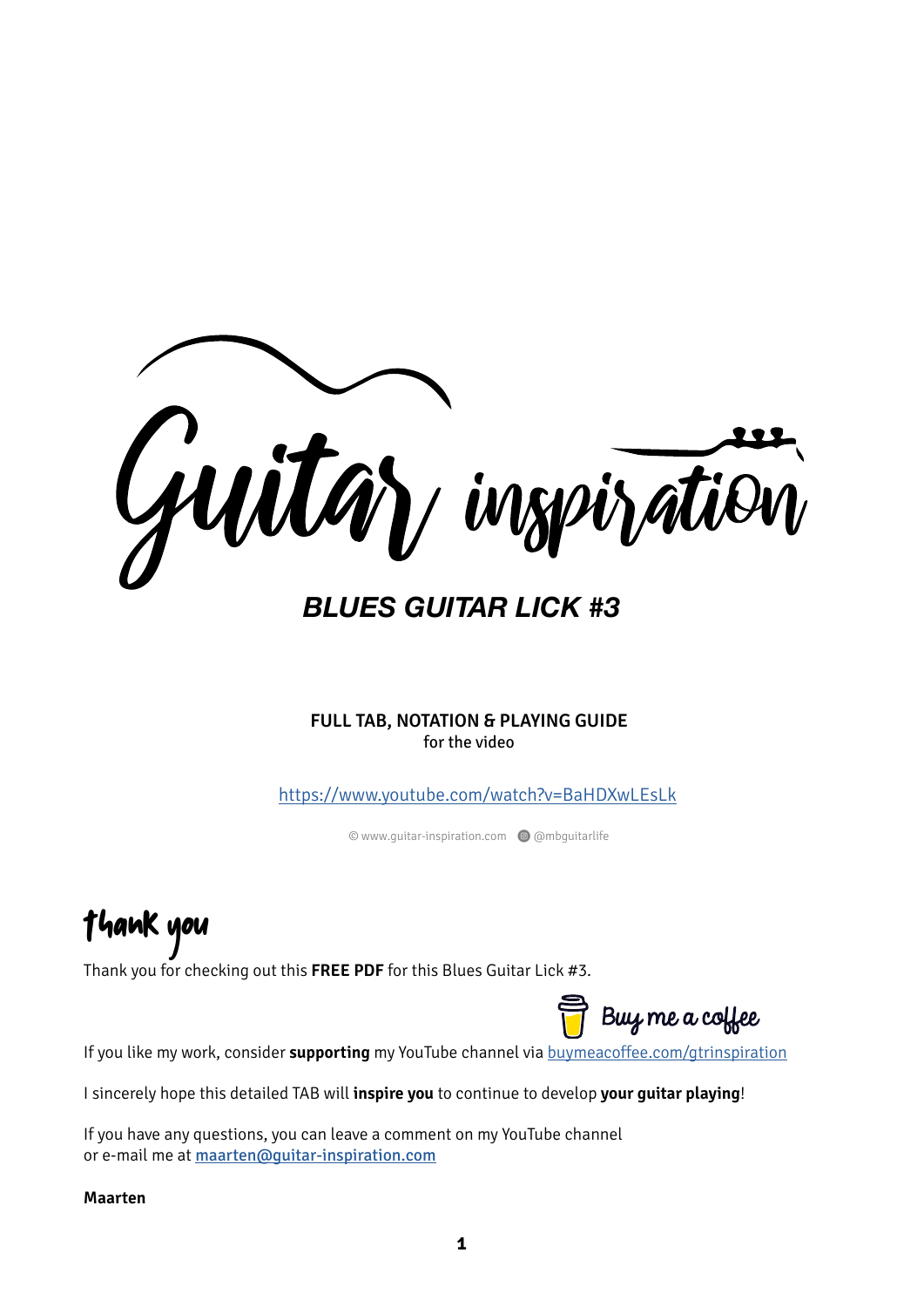

*BLUES GUITAR LICK #3*

**FULL TAB, NOTATION & PLAYING GUIDE** for the video

<https://www.youtube.com/watch?v=BaHDXwLEsLk>

© www.guitar-inspiration.com Q @mbguitarlife

Thank you

Thank you for checking out this **FREE PDF** for this Blues Guitar Lick #3.

Buy me a coffee

If you like my work, consider **supporting** my YouTube channel via [buymeacoffee.com/gtrinspiration](https://www.buymeacoffee.com/gtrinspiration)

I sincerely hope this detailed TAB will **inspire you** to continue to develop **your guitar playing**!

If you have any questions, you can leave a comment on my YouTube channel or e-mail me at [maarten@guitar-inspiration.com](mailto:maarten@guitar-inspiration.com)

**Maarten**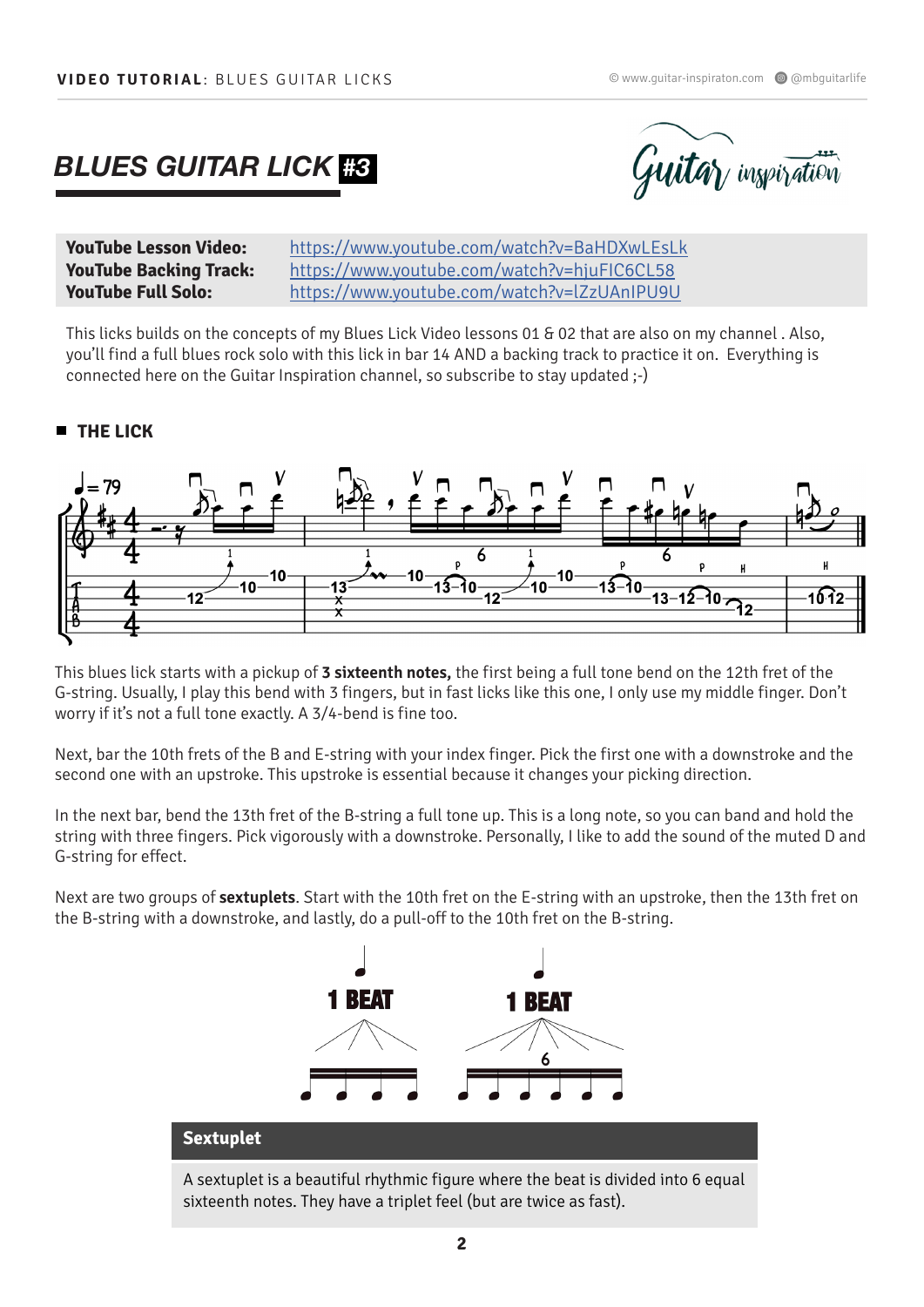## *BLUES GUITAR LICK #3*



**YouTube Lesson Video:** https://www.youtube.com/watch?v=BaHDXwLEsLk **YouTube Backing Track:** https://www.youtube.com/watch?v=hjuFIC6CL58 **YouTube Full Solo:** https://www.youtube.com/watch?v=lZzUAnIPU9U

This licks builds on the concepts of my Blues Lick Video lessons 01 & 02 that are also on my channel . Also, you'll find a full blues rock solo with this lick in bar 14 AND a backing track to practice it on. Everything is connected here on the Guitar Inspiration channel, so subscribe to stay updated ;-)

## **THE LICK**



This blues lick starts with a pickup of **3 sixteenth notes,** the first being a full tone bend on the 12th fret of the G-string. Usually, I play this bend with 3 fingers, but in fast licks like this one, I only use my middle finger. Don't worry if it's not a full tone exactly. A 3/4-bend is fine too.

Next, bar the 10th frets of the B and E-string with your index finger. Pick the first one with a downstroke and the second one with an upstroke. This upstroke is essential because it changes your picking direction.

In the next bar, bend the 13th fret of the B-string a full tone up. This is a long note, so you can band and hold the string with three fingers. Pick vigorously with a downstroke. Personally, I like to add the sound of the muted D and G-string for effect.

Next are two groups of **sextuplets**. Start with the 10th fret on the E-string with an upstroke, then the 13th fret on the B-string with a downstroke, and lastly, do a pull-off to the 10th fret on the B-string.



A sextuplet is a beautiful rhythmic figure where the beat is divided into 6 equal sixteenth notes. They have a triplet feel (but are twice as fast).